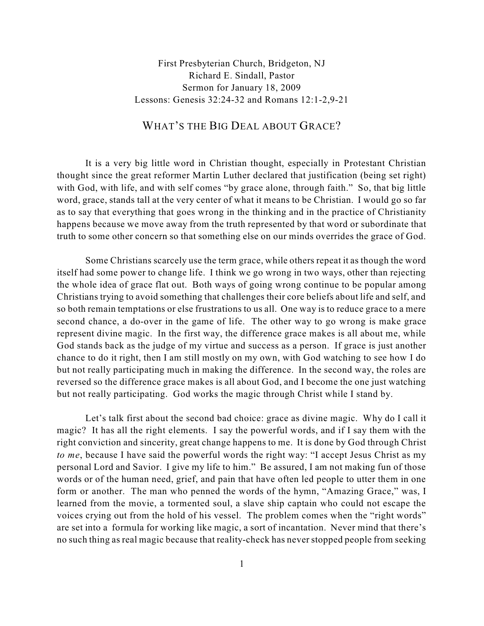First Presbyterian Church, Bridgeton, NJ Richard E. Sindall, Pastor Sermon for January 18, 2009 Lessons: Genesis 32:24-32 and Romans 12:1-2,9-21

## WHAT'S THE BIG DEAL ABOUT GRACE?

It is a very big little word in Christian thought, especially in Protestant Christian thought since the great reformer Martin Luther declared that justification (being set right) with God, with life, and with self comes "by grace alone, through faith." So, that big little word, grace, stands tall at the very center of what it means to be Christian. I would go so far as to say that everything that goes wrong in the thinking and in the practice of Christianity happens because we move away from the truth represented by that word or subordinate that truth to some other concern so that something else on our minds overrides the grace of God.

Some Christians scarcely use the term grace, while others repeat it as though the word itself had some power to change life. I think we go wrong in two ways, other than rejecting the whole idea of grace flat out. Both ways of going wrong continue to be popular among Christians trying to avoid something that challenges their core beliefs about life and self, and so both remain temptations or else frustrations to us all. One way is to reduce grace to a mere second chance, a do-over in the game of life. The other way to go wrong is make grace represent divine magic. In the first way, the difference grace makes is all about me, while God stands back as the judge of my virtue and success as a person. If grace is just another chance to do it right, then I am still mostly on my own, with God watching to see how I do but not really participating much in making the difference. In the second way, the roles are reversed so the difference grace makes is all about God, and I become the one just watching but not really participating. God works the magic through Christ while I stand by.

Let's talk first about the second bad choice: grace as divine magic. Why do I call it magic? It has all the right elements. I say the powerful words, and if I say them with the right conviction and sincerity, great change happens to me. It is done by God through Christ *to me*, because I have said the powerful words the right way: "I accept Jesus Christ as my personal Lord and Savior. I give my life to him." Be assured, I am not making fun of those words or of the human need, grief, and pain that have often led people to utter them in one form or another. The man who penned the words of the hymn, "Amazing Grace," was, I learned from the movie, a tormented soul, a slave ship captain who could not escape the voices crying out from the hold of his vessel. The problem comes when the "right words" are set into a formula for working like magic, a sort of incantation. Never mind that there's no such thing as real magic because that reality-check has neverstopped people from seeking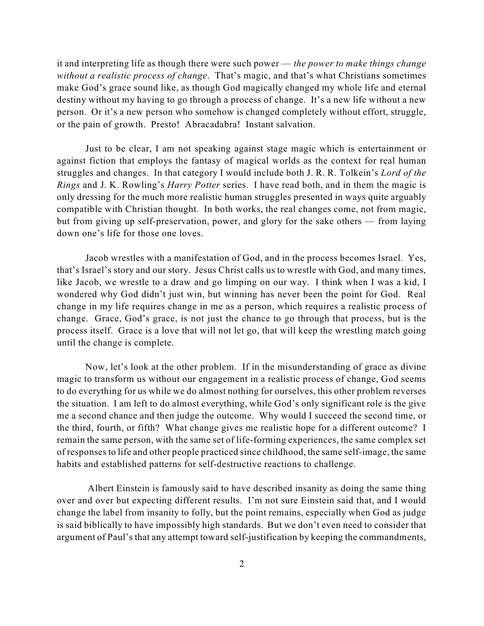it and interpreting life as though there were such power — *the power to make things change without a realistic process of change*. That's magic, and that's what Christians sometimes make God's grace sound like, as though God magically changed my whole life and eternal destiny without my having to go through a process of change. It's a new life without a new person. Or it's a new person who somehow is changed completely without effort, struggle, or the pain of growth. Presto! Abracadabra! Instant salvation.

Just to be clear, I am not speaking against stage magic which is entertainment or against fiction that employs the fantasy of magical worlds as the context for real human struggles and changes. In that category I would include both J. R. R. Tolkein's *Lord of the Rings* and J. K. Rowling's *Harry Potter* series. I have read both, and in them the magic is only dressing for the much more realistic human struggles presented in ways quite arguably compatible with Christian thought. In both works, the real changes come, not from magic, but from giving up self-preservation, power, and glory for the sake others — from laying down one's life for those one loves.

Jacob wrestles with a manifestation of God, and in the process becomes Israel. Yes, that's Israel's story and our story. Jesus Christ calls us to wrestle with God, and many times, like Jacob, we wrestle to a draw and go limping on our way. I think when I was a kid, I wondered why God didn't just win, but winning has never been the point for God. Real change in my life requires change in me as a person, which requires a realistic process of change. Grace, God's grace, is not just the chance to go through that process, but is the process itself. Grace is a love that will not let go, that will keep the wrestling match going until the change is complete.

Now, let's look at the other problem. If in the misunderstanding of grace as divine magic to transform us without our engagement in a realistic process of change, God seems to do everything for us while we do almost nothing for ourselves, this other problem reverses the situation. I am left to do almost everything, while God's only significant role is the give me a second chance and then judge the outcome. Why would I succeed the second time, or the third, fourth, or fifth? What change gives me realistic hope for a different outcome? I remain the same person, with the same set of life-forming experiences, the same complex set of responsesto life and other people practiced since childhood, the same self-image, the same habits and established patterns for self-destructive reactions to challenge.

Albert Einstein is famously said to have described insanity as doing the same thing over and over but expecting different results. I'm not sure Einstein said that, and I would change the label from insanity to folly, but the point remains, especially when God as judge is said biblically to have impossibly high standards. But we don't even need to consider that argument of Paul's that any attempt toward self-justification by keeping the commandments,